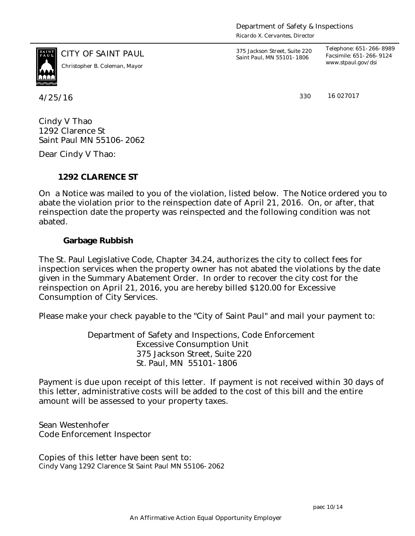*Ricardo X. Cervantes, Director*



*www.stpaul.gov/dsi Christopher B. Coleman, Mayor*

CITY OF SAINT PAUL *375 Jackson Street, Suite 220 Saint Paul, MN 55101-1806*

*Telephone: 651-266-8989 Facsimile: 651-266-9124*

4/25/16 330

16 027017

Cindy V Thao 1292 Clarence St Saint Paul MN 55106-2062

Dear Cindy V Thao:

**1292 CLARENCE ST**

On a Notice was mailed to you of the violation, listed below. The Notice ordered you to abate the violation prior to the reinspection date of April 21, 2016. On, or after, that reinspection date the property was reinspected and the following condition was not abated.

**Garbage Rubbish**

The St. Paul Legislative Code, Chapter 34.24, authorizes the city to collect fees for inspection services when the property owner has not abated the violations by the date given in the Summary Abatement Order. In order to recover the city cost for the reinspection on April 21, 2016, you are hereby billed \$120.00 for Excessive Consumption of City Services.

Please make your check payable to the "City of Saint Paul" and mail your payment to:

Department of Safety and Inspections, Code Enforcement Excessive Consumption Unit 375 Jackson Street, Suite 220 St. Paul, MN 55101-1806

Payment is due upon receipt of this letter. If payment is not received within 30 days of this letter, administrative costs will be added to the cost of this bill and the entire amount will be assessed to your property taxes.

Sean Westenhofer Code Enforcement Inspector

Copies of this letter have been sent to: Cindy Vang 1292 Clarence St Saint Paul MN 55106-2062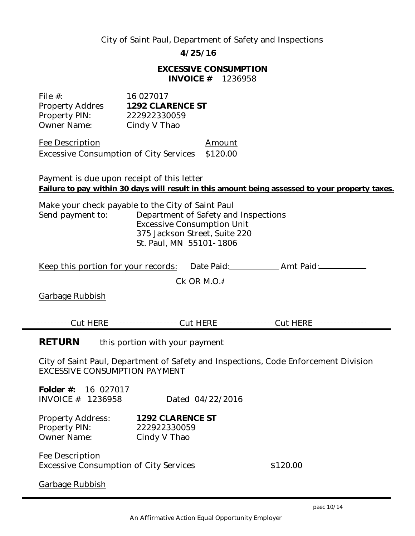## City of Saint Paul, Department of Safety and Inspections

**4/25/16**

**EXCESSIVE CONSUMPTION INVOICE #** 1236958

| File $#$ :             | 16 027017        |
|------------------------|------------------|
| <b>Property Addres</b> | 1292 CLARENCE ST |
| Property PIN:          | 222922330059     |
| Owner Name:            | Cindy V Thao     |

Fee Description and Amount Excessive Consumption of City Services \$120.00

Payment is due upon receipt of this letter **Failure to pay within 30 days will result in this amount being assessed to your property taxes.**

Make your check payable to the City of Saint Paul Send payment to: Department of Safety and Inspections Excessive Consumption Unit 375 Jackson Street, Suite 220 St. Paul, MN 55101-1806

| Keep this portion for your records:             | Date Paid: ________________ Amt Paid: _____________                                           |
|-------------------------------------------------|-----------------------------------------------------------------------------------------------|
|                                                 |                                                                                               |
| Garbage Rubbish                                 |                                                                                               |
|                                                 |                                                                                               |
|                                                 | -----------Cut HERE   ----------------- Cut HERE   --------------- Cut HERE   --------------- |
| <b>RETURN</b><br>this portion with your payment |                                                                                               |
| EXCESSIVE CONSUMPTION PAYMENT                   | City of Saint Paul, Department of Safety and Inspections, Code Enforcement Division           |
| Folder #: 16 027017                             |                                                                                               |

INVOICE # 1236958 Dated 04/22/2016

| <b>Property Address:</b> | 1292 CLARENCE ST |
|--------------------------|------------------|
| Property PIN:            | 222922330059     |
| <b>Owner Name:</b>       | Cindy V Thao     |

Fee Description Excessive Consumption of City Services  $$120.00$ 

Garbage Rubbish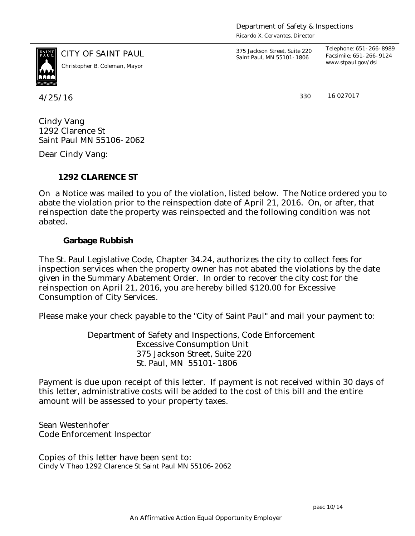*Ricardo X. Cervantes, Director*



*www.stpaul.gov/dsi Christopher B. Coleman, Mayor*

CITY OF SAINT PAUL *375 Jackson Street, Suite 220 Saint Paul, MN 55101-1806*

*Telephone: 651-266-8989 Facsimile: 651-266-9124*

4/25/16 330

16 027017

Cindy Vang 1292 Clarence St Saint Paul MN 55106-2062

Dear Cindy Vang:

**1292 CLARENCE ST**

On a Notice was mailed to you of the violation, listed below. The Notice ordered you to abate the violation prior to the reinspection date of April 21, 2016. On, or after, that reinspection date the property was reinspected and the following condition was not abated.

**Garbage Rubbish**

The St. Paul Legislative Code, Chapter 34.24, authorizes the city to collect fees for inspection services when the property owner has not abated the violations by the date given in the Summary Abatement Order. In order to recover the city cost for the reinspection on April 21, 2016, you are hereby billed \$120.00 for Excessive Consumption of City Services.

Please make your check payable to the "City of Saint Paul" and mail your payment to:

Department of Safety and Inspections, Code Enforcement Excessive Consumption Unit 375 Jackson Street, Suite 220 St. Paul, MN 55101-1806

Payment is due upon receipt of this letter. If payment is not received within 30 days of this letter, administrative costs will be added to the cost of this bill and the entire amount will be assessed to your property taxes.

Sean Westenhofer Code Enforcement Inspector

Copies of this letter have been sent to: Cindy V Thao 1292 Clarence St Saint Paul MN 55106-2062